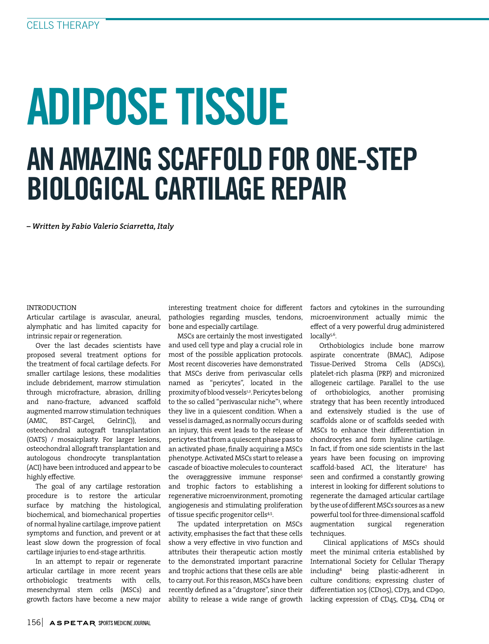# ADIPOSE TISSUE AN AMAZING SCAFFOLD FOR ONE-STEP BIOLOGICAL CARTILAGE REPAIR

*– Written by Fabio Valerio Sciarretta, Italy*

## INTRODUCTION

Articular cartilage is avascular, aneural, alymphatic and has limited capacity for intrinsic repair or regeneration.

Over the last decades scientists have proposed several treatment options for the treatment of focal cartilage defects. For smaller cartilage lesions, these modalities include debridement, marrow stimulation through microfracture, abrasion, drilling and nano-fracture, advanced scaffold augmented marrow stimulation techniques (AMIC, BST-Cargel, GelrinC)), and osteochondral autograft transplantation (OATS) / mosaicplasty. For larger lesions, osteochondral allograft transplantation and autologous chondrocyte transplantation (ACI) have been introduced and appear to be highly effective.

The goal of any cartilage restoration procedure is to restore the articular surface by matching the histological, biochemical, and biomechanical properties of normal hyaline cartilage, improve patient symptoms and function, and prevent or at least slow down the progression of focal cartilage injuries to end-stage arthritis.

In an attempt to repair or regenerate articular cartilage in more recent years orthobiologic treatments with cells, mesenchymal stem cells (MSCs) and growth factors have become a new major

interesting treatment choice for different pathologies regarding muscles, tendons, bone and especially cartilage.

MSCs are certainly the most investigated and used cell type and play a crucial role in most of the possible application protocols. Most recent discoveries have demonstrated that MSCs derive from perivascular cells named as "pericytes", located in the proximity of blood vessels<sup>1,2</sup>. Pericytes belong to the so called "perivascular niche"3 , where they live in a quiescent condition. When a vessel is damaged, as normally occurs during an injury, this event leads to the release of pericytes that from a quiescent phase pass to an activated phase, finally acquiring a MSCs phenotype. Activated MSCs start to release a cascade of bioactive molecules to counteract the overaggressive immune response<sup>5</sup> and trophic factors to establishing a regenerative microenvironment, promoting angiogenesis and stimulating proliferation of tissue specific progenitor cells<sup>45</sup>.

The updated interpretation on MSCs activity, emphasises the fact that these cells show a very effective in vivo function and attributes their therapeutic action mostly to the demonstrated important paracrine and trophic actions that these cells are able to carry out. For this reason, MSCs have been recently defined as a "drugstore", since their ability to release a wide range of growth

factors and cytokines in the surrounding microenvironment actually mimic the effect of a very powerful drug administered locally<sup>5,6</sup>.

Orthobiologics include bone marrow aspirate concentrate (BMAC), Adipose Tissue-Derived Stroma Cells (ADSCs), platelet-rich plasma (PRP) and micronized allogeneic cartilage. Parallel to the use of orthobiologics, another promising strategy that has been recently introduced and extensively studied is the use of scaffolds alone or of scaffolds seeded with MSCs to enhance their differentiation in chondrocytes and form hyaline cartilage. In fact, if from one side scientists in the last years have been focusing on improving scaffold-based ACI, the literature7 has seen and confirmed a constantly growing interest in looking for different solutions to regenerate the damaged articular cartilage by the use of different MSCs sources as a new powerful tool for three-dimensional scaffold augmentation surgical regeneration techniques.

 Clinical applications of MSCs should meet the minimal criteria established by International Society for Cellular Therapy including8 being plastic-adherent in culture conditions; expressing cluster of differentiation 105 (CD105), CD73, and CD90, lacking expression of CD45, CD34, CD14 or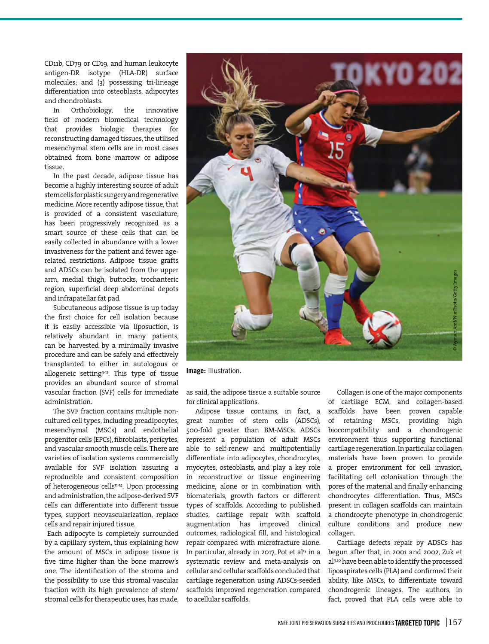CD11b, CD79 or CD19, and human leukocyte antigen-DR isotype (HLA-DR) surface molecules; and (3) possessing tri-lineage differentiation into osteoblasts, adipocytes and chondroblasts.<br>In Orthobiolo

Orthobiology, the innovative field of modern biomedical technology that provides biologic therapies for reconstructing damaged tissues, the utilised mesenchymal stem cells are in most cases obtained from bone marrow or adipose tissue.

In the past decade, adipose tissue has become a highly interesting source of adult stem cells for plastic surgery and regenerative medicine. More recently adipose tissue, that is provided of a consistent vasculature, has been progressively recognized as a smart source of these cells that can be easily collected in abundance with a lower invasiveness for the patient and fewer agerelated restrictions. Adipose tissue grafts and ADSCs can be isolated from the upper arm, medial thigh, buttocks, trochanteric region, superficial deep abdominal depots and infrapatellar fat pad.

Subcutaneous adipose tissue is up today the first choice for cell isolation because it is easily accessible via liposuction, is relatively abundant in many patients, can be harvested by a minimally invasive procedure and can be safely and effectively transplanted to either in autologous or allogeneic setting<sup>9-11</sup>. This type of tissue provides an abundant source of stromal vascular fraction (SVF) cells for immediate administration.

The SVF fraction contains multiple noncultured cell types, including preadipocytes, mesenchymal (MSCs) and endothelial progenitor cells (EPCs), fibroblasts, pericytes, and vascular smooth muscle cells. There are varieties of isolation systems commercially available for SVF isolation assuring a reproducible and consistent composition of heterogeneous cells $n+14}$ . Upon processing and administration, the adipose-derived SVF cells can differentiate into different tissue types, support neovascularization, replace cells and repair injured tissue.

 Each adipocyte is completely surrounded by a capillary system, thus explaining how the amount of MSCs in adipose tissue is five time higher than the bone marrow's one. The identification of the stroma and the possibility to use this stromal vascular fraction with its high prevalence of stem/ stromal cells for therapeutic uses, has made,



**Image:** Illustration.

as said, the adipose tissue a suitable source for clinical applications.

Adipose tissue contains, in fact, a great number of stem cells (ADSCs), 500-fold greater than BM-MSCs. ADSCs represent a population of adult MSCs able to self-renew and multipotentially differentiate into adipocytes, chondrocytes, myocytes, osteoblasts, and play a key role in reconstructive or tissue engineering medicine, alone or in combination with biomaterials, growth factors or different types of scaffolds. According to published studies, cartilage repair with scaffold augmentation has improved clinical outcomes, radiological fill, and histological repair compared with microfracture alone. In particular, already in 2017, Pot et al<sup>15</sup> in a systematic review and meta-analysis on cellular and cellular scaffolds concluded that cartilage regeneration using ADSCs-seeded scaffolds improved regeneration compared to acellular scaffolds.

Collagen is one of the major components of cartilage ECM, and collagen-based scaffolds have been proven capable of retaining MSCs, providing high biocompatibility and a chondrogenic environment thus supporting functional cartilage regeneration. In particular collagen materials have been proven to provide a proper environment for cell invasion, facilitating cell colonisation through the pores of the material and finally enhancing chondrocytes differentiation. Thus, MSCs present in collagen scaffolds can maintain a chondrocyte phenotype in chondrogenic culture conditions and produce new collagen.

Cartilage defects repair by ADSCs has begun after that, in 2001 and 2002, Zuk et al9,10 have been able to identify the processed lipoaspirates cells (PLA) and confirmed their ability, like MSCs, to differentiate toward chondrogenic lineages. The authors, in fact, proved that PLA cells were able to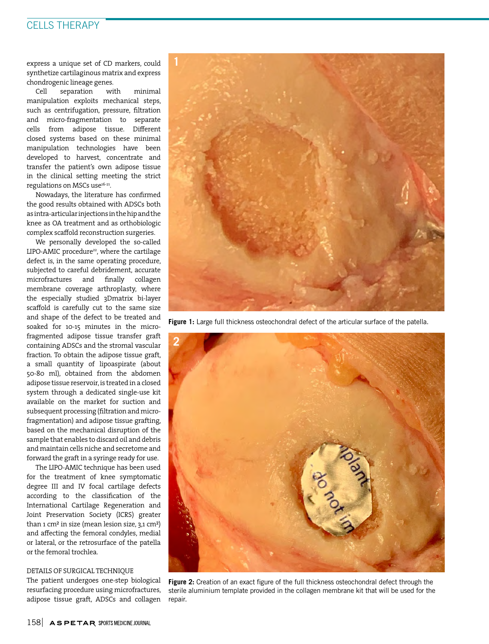# CELLS THERAPY

express a unique set of CD markers, could synthetize cartilaginous matrix and express chondrogenic lineage genes.

Cell separation with minimal manipulation exploits mechanical steps, such as centrifugation, pressure, filtration and micro-fragmentation to separate cells from adipose tissue. Different closed systems based on these minimal manipulation technologies have been developed to harvest, concentrate and transfer the patient's own adipose tissue in the clinical setting meeting the strict regulations on MSCs use<sup>16-21</sup>.

Nowadays, the literature has confirmed the good results obtained with ADSCs both as intra-articular injections in the hip and the knee as OA treatment and as orthobiologic complex scaffold reconstruction surgeries.

We personally developed the so-called LIPO-AMIC procedure<sup>22</sup>, where the cartilage defect is, in the same operating procedure, subjected to careful debridement, accurate microfractures and finally collagen membrane coverage arthroplasty, where the especially studied 3Dmatrix bi-layer scaffold is carefully cut to the same size and shape of the defect to be treated and soaked for 10-15 minutes in the microfragmented adipose tissue transfer graft containing ADSCs and the stromal vascular fraction. To obtain the adipose tissue graft, a small quantity of lipoaspirate (about 50-80 ml), obtained from the abdomen adipose tissue reservoir, is treated in a closed system through a dedicated single-use kit available on the market for suction and subsequent processing (filtration and microfragmentation) and adipose tissue grafting, based on the mechanical disruption of the sample that enables to discard oil and debris and maintain cells niche and secretome and forward the graft in a syringe ready for use.

The LIPO-AMIC technique has been used for the treatment of knee symptomatic degree III and IV focal cartilage defects according to the classification of the International Cartilage Regeneration and Joint Preservation Society (ICRS) greater than 1 cm² in size (mean lesion size, 3,1 cm²) and affecting the femoral condyles, medial or lateral, or the retrosurface of the patella or the femoral trochlea.

#### DETAILS OF SURGICAL TECHNIQUE

The patient undergoes one-step biological resurfacing procedure using microfractures, adipose tissue graft, ADSCs and collagen



Figure 1: Large full thickness osteochondral defect of the articular surface of the patella.



**Figure 2:** Creation of an exact figure of the full thickness osteochondral defect through the sterile aluminium template provided in the collagen membrane kit that will be used for the repair.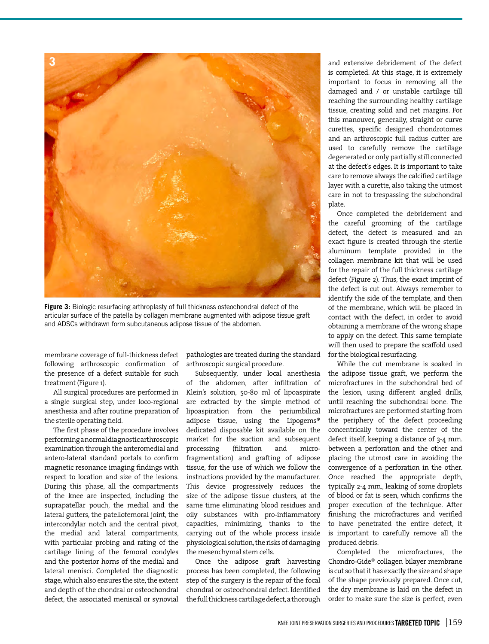

**Figure 3:** Biologic resurfacing arthroplasty of full thickness osteochondral defect of the articular surface of the patella by collagen membrane augmented with adipose tissue graft and ADSCs withdrawn form subcutaneous adipose tissue of the abdomen.

membrane coverage of full-thickness defect following arthroscopic confirmation of the presence of a defect suitable for such treatment (Figure 1).

All surgical procedures are performed in a single surgical step, under loco-regional anesthesia and after routine preparation of the sterile operating field.

The first phase of the procedure involves performing a normal diagnostic arthroscopic examination through the anteromedial and antero-lateral standard portals to confirm magnetic resonance imaging findings with respect to location and size of the lesions. During this phase, all the compartments of the knee are inspected, including the suprapatellar pouch, the medial and the lateral gutters, the patellofemoral joint, the intercondylar notch and the central pivot, the medial and lateral compartments, with particular probing and rating of the cartilage lining of the femoral condyles and the posterior horns of the medial and lateral menisci. Completed the diagnostic stage, which also ensures the site, the extent and depth of the chondral or osteochondral defect, the associated meniscal or synovial

pathologies are treated during the standard arthroscopic surgical procedure.

Subsequently, under local anesthesia of the abdomen, after infiltration of Klein's solution, 50-80 ml of lipoaspirate are extracted by the simple method of lipoaspiration from the periumbilical adipose tissue, using the Lipogems® dedicated disposable kit available on the market for the suction and subsequent processing (filtration and microfragmentation) and grafting of adipose tissue, for the use of which we follow the instructions provided by the manufacturer. This device progressively reduces the size of the adipose tissue clusters, at the same time eliminating blood residues and oily substances with pro-inflammatory capacities, minimizing, thanks to the carrying out of the whole process inside physiological solution, the risks of damaging the mesenchymal stem cells.

Once the adipose graft harvesting process has been completed, the following step of the surgery is the repair of the focal chondral or osteochondral defect. Identified the full thickness cartilage defect, a thorough

and extensive debridement of the defect is completed. At this stage, it is extremely important to focus in removing all the damaged and / or unstable cartilage till reaching the surrounding healthy cartilage tissue, creating solid and net margins. For this manouver, generally, straight or curve curettes, specific designed chondrotomes and an arthroscopic full radius cutter are used to carefully remove the cartilage degenerated or only partially still connected at the defect's edges. It is important to take care to remove always the calcified cartilage layer with a curette, also taking the utmost care in not to trespassing the subchondral plate.

Once completed the debridement and the careful grooming of the cartilage defect, the defect is measured and an exact figure is created through the sterile aluminum template provided in the collagen membrane kit that will be used for the repair of the full thickness cartilage defect (Figure 2). Thus, the exact imprint of the defect is cut out. Always remember to identify the side of the template, and then of the membrane, which will be placed in contact with the defect, in order to avoid obtaining a membrane of the wrong shape to apply on the defect. This same template will then used to prepare the scaffold used for the biological resurfacing.

While the cut membrane is soaked in the adipose tissue graft, we perform the microfractures in the subchondral bed of the lesion, using different angled drills, until reaching the subchondral bone. The microfractures are performed starting from the periphery of the defect proceeding concentrically toward the center of the defect itself, keeping a distance of 3-4 mm. between a perforation and the other and placing the utmost care in avoiding the convergence of a perforation in the other. Once reached the appropriate depth, typically 2-4 mm., leaking of some droplets of blood or fat is seen, which confirms the proper execution of the technique. After finishing the microfractures and verified to have penetrated the entire defect, it is important to carefully remove all the produced debris.

Completed the microfractures, the Chondro-Gide® collagen bilayer membrane is cut so that it has exactly the size and shape of the shape previously prepared. Once cut, the dry membrane is laid on the defect in order to make sure the size is perfect, even